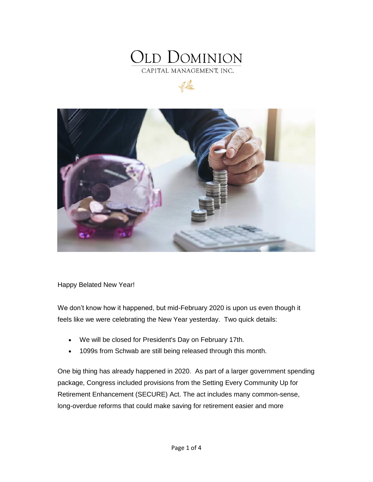





Happy Belated New Year!

We don't know how it happened, but mid-February 2020 is upon us even though it feels like we were celebrating the New Year yesterday. Two quick details:

- We will be closed for President's Day on February 17th.
- 1099s from Schwab are still being released through this month.

One big thing has already happened in 2020. As part of a larger government spending package, Congress included provisions from the Setting Every Community Up for Retirement Enhancement (SECURE) Act. The act includes many common-sense, long-overdue reforms that could make saving for retirement easier and more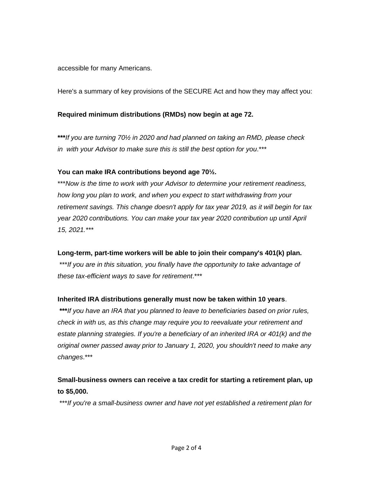accessible for many Americans.

Here's a summary of key provisions of the SECURE Act and how they may affect you:

## **Required minimum distributions (RMDs) now begin at age 72.**

**\*\*\****If you are turning 70½ in 2020 and had planned on taking an RMD, please check in with your Advisor to make sure this is still the best option for you*.\*\*\*

## **You can make IRA contributions beyond age 70½.**

\*\*\**Now is the time to work with your Advisor to determine your retirement readiness, how long you plan to work, and when you expect to start withdrawing from your retirement savings. This change doesn't apply for tax year 2019, as it will begin for tax year 2020 contributions. You can make your tax year 2020 contribution up until April 15, 2021.\*\*\**

## **Long-term, part-time workers will be able to join their company's 401(k) plan.**

\*\*\**If you are in this situation, you finally have the opportunity to take advantage of these tax-efficient ways to save for retirement*.\*\*\*

## **Inherited IRA distributions generally must now be taken within 10 years**.

**\*\*\****If you have an IRA that you planned to leave to beneficiaries based on prior rules, check in with us, as this change may require you to reevaluate your retirement and estate planning strategies. If you're a beneficiary of an inherited IRA or 401(k) and the original owner passed away prior to January 1, 2020, you shouldn't need to make any changes*.\*\*\*

## **Small-business owners can receive a tax credit for starting a retirement plan, up to \$5,000.**

\*\*\**If you're a small-business owner and have not yet established a retirement plan for*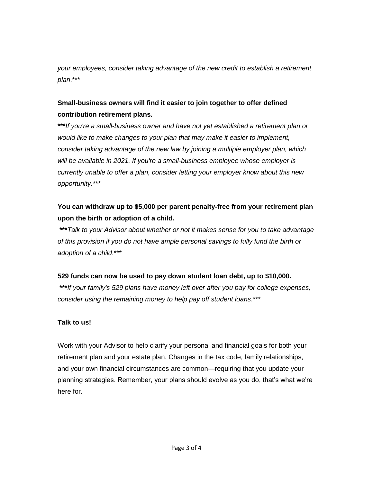*your employees, consider taking advantage of the new credit to establish a retirement plan*.\*\*\*

# **Small-business owners will find it easier to join together to offer defined contribution retirement plans.**

**\*\*\****If you're a small-business owner and have not yet established a retirement plan or would like to make changes to your plan that may make it easier to implement, consider taking advantage of the new law by joining a multiple employer plan, which will be available in 2021. If you're a small-business employee whose employer is currently unable to offer a plan, consider letting your employer know about this new opportunity.\*\*\**

## **You can withdraw up to \$5,000 per parent penalty-free from your retirement plan upon the birth or adoption of a child.**

**\*\*\****Talk to your Advisor about whether or not it makes sense for you to take advantage of this provision if you do not have ample personal savings to fully fund the birth or adoption of a child*.\*\*\*

## **529 funds can now be used to pay down student loan debt, up to \$10,000.**

**\*\*\****If your family's 529 plans have money left over after you pay for college expenses, consider using the remaining money to help pay off student loans*.\*\*\*

## **Talk to us!**

Work with your Advisor to help clarify your personal and financial goals for both your retirement plan and your estate plan. Changes in the tax code, family relationships, and your own financial circumstances are common—requiring that you update your planning strategies. Remember, your plans should evolve as you do, that's what we're here for.